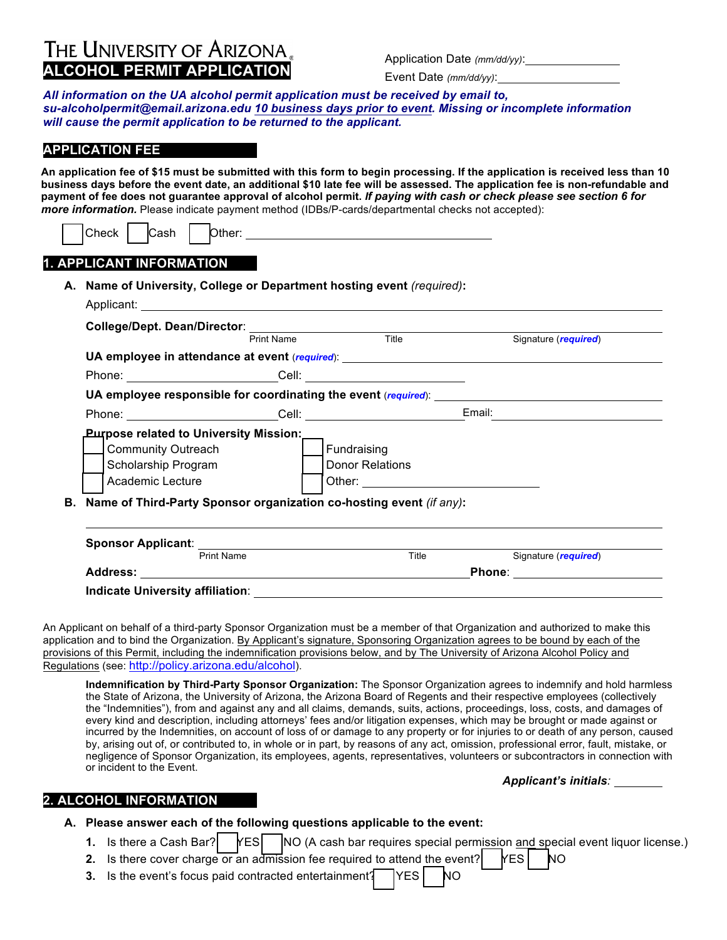# **THE UNIVERSITY OF ARIZONA**<br>**ALCOHOL PERMIT APPLICATION** Application Date *(mm/dd/yy)*:

Event Date *(mm/dd/yy)*:

*All information on the UA alcohol permit application must be received by email to, su-alcoholpermit@email.arizona.edu 10 business days prior to event. Missing or incomplete information will cause the permit application to be returned to the applicant.* 

## **APPLICATION FEE**

An application fee of \$15 must be submitted with this form to begin processing. If the application is received less than 10 **business days before the event date, an additional \$10 late fee will be assessed. The application fee is non-refundable and payment of fee does not guarantee approval of alcohol permit.** *If paying with cash or check please see section 6 for more information.* Please indicate payment method (IDBs/P-cards/departmental checks not accepted):

|  | .<br>Check<br>'' | Ю<br>גаsh | Other: |  |
|--|------------------|-----------|--------|--|
|  |                  |           |        |  |

### **1. APPLICANT INFORMATION**

| College/Dept. Dean/Director:<br><u>Print Name</u><br>Title                       |                                                                        |                                                                                                                                                                                                                                |                      |  |  |  |  |
|----------------------------------------------------------------------------------|------------------------------------------------------------------------|--------------------------------------------------------------------------------------------------------------------------------------------------------------------------------------------------------------------------------|----------------------|--|--|--|--|
|                                                                                  |                                                                        |                                                                                                                                                                                                                                | Signature (required) |  |  |  |  |
| UA employee in attendance at event (required): _________________________________ |                                                                        |                                                                                                                                                                                                                                |                      |  |  |  |  |
|                                                                                  |                                                                        | Phone: Cell: Cell: Cell: Cell: Cell: Cell: Cell: Cell: Cell: Cell: Cell: Cell: Cell: Cell: Cell: Cell: Cell: Cell: Cell: Cell: Cell: Cell: Cell: Cell: Cell: Cell: Cell: Cell: Cell: Cell: Cell: Cell: Cell: Cell: Cell: Cell: |                      |  |  |  |  |
| UA employee responsible for coordinating the event (required): _________________ |                                                                        |                                                                                                                                                                                                                                |                      |  |  |  |  |
|                                                                                  |                                                                        |                                                                                                                                                                                                                                |                      |  |  |  |  |
| <u>Purpose related to University Mission:</u>                                    |                                                                        |                                                                                                                                                                                                                                |                      |  |  |  |  |
| <b>Community Outreach</b>                                                        |                                                                        | Fundraising                                                                                                                                                                                                                    |                      |  |  |  |  |
| Scholarship Program                                                              |                                                                        | Donor Relations                                                                                                                                                                                                                |                      |  |  |  |  |
| Academic Lecture                                                                 |                                                                        |                                                                                                                                                                                                                                |                      |  |  |  |  |
|                                                                                  | B. Name of Third-Party Sponsor organization co-hosting event (if any): |                                                                                                                                                                                                                                |                      |  |  |  |  |
|                                                                                  |                                                                        |                                                                                                                                                                                                                                |                      |  |  |  |  |

An Applicant on behalf of a third-party Sponsor Organization must be a member of that Organization and authorized to make this application and to bind the Organization. By Applicant's signature, Sponsoring Organization agrees to be bound by each of the provisions of this Permit, including the indemnification provisions below, and by The University of Arizona Alcohol Policy and Regulations (see: http://policy.arizona.edu/alcohol).

**Address: Phone**:

**Indicate University affiliation**:

**Indemnification by Third-Party Sponsor Organization:** The Sponsor Organization agrees to indemnify and hold harmless the State of Arizona, the University of Arizona, the Arizona Board of Regents and their respective employees (collectively the "Indemnities"), from and against any and all claims, demands, suits, actions, proceedings, loss, costs, and damages of every kind and description, including attorneys' fees and/or litigation expenses, which may be brought or made against or incurred by the Indemnities, on account of loss of or damage to any property or for injuries to or death of any person, caused by, arising out of, or contributed to, in whole or in part, by reasons of any act, omission, professional error, fault, mistake, or negligence of Sponsor Organization, its employees, agents, representatives, volunteers or subcontractors in connection with or incident to the Event.

#### *Applicant's initials:*

#### **2. ALCOHOL INFORMATION**

#### **A. Please answer each of the following questions applicable to the event:**

- **1.** Is there a Cash Bar? | YES | NO (A cash bar requires special permission and special event liquor license.)
- **2.** Is there cover charge or an admission fee required to attend the event?  $YES$  NO
	- **3.** Is the event's focus paid contracted entertainment? YES NO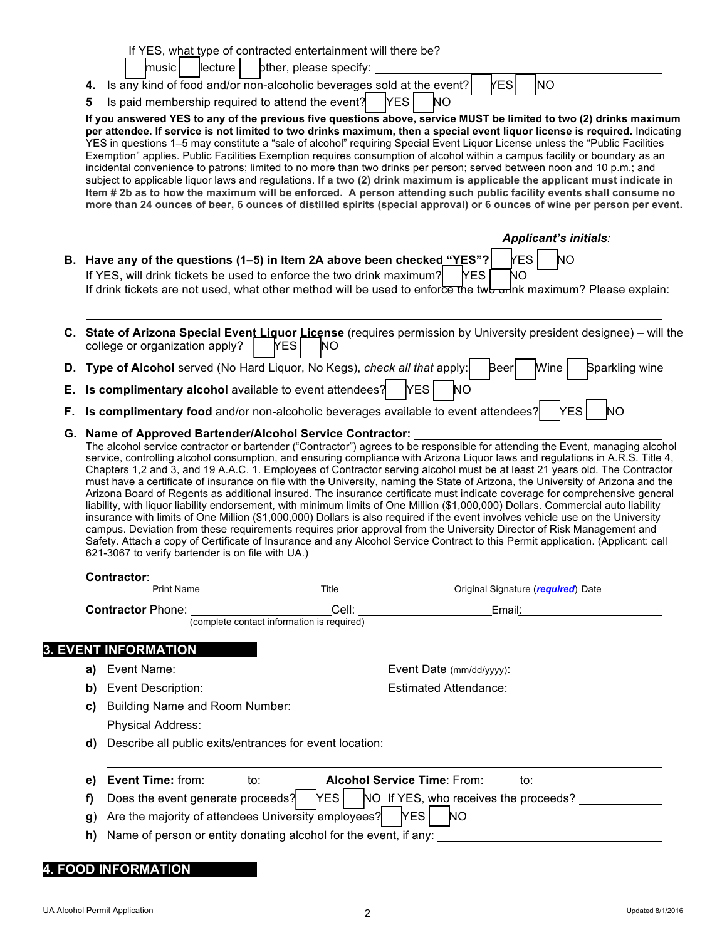|                                                                                                                                                                                                                                                                                                                                                                                                                                                                                                                                                                                                                                                                                                                                                                                                                                                                                                                                                                                                                                                                                                                                                                                                                                                         | If YES, what type of contracted entertainment will there be?                                                                                                                                                                                                                                                                                                                                                                                                                                                                                                                                                                                                                                                                                                                                                                                                                                     |  |  |  |  |  |  |  |
|---------------------------------------------------------------------------------------------------------------------------------------------------------------------------------------------------------------------------------------------------------------------------------------------------------------------------------------------------------------------------------------------------------------------------------------------------------------------------------------------------------------------------------------------------------------------------------------------------------------------------------------------------------------------------------------------------------------------------------------------------------------------------------------------------------------------------------------------------------------------------------------------------------------------------------------------------------------------------------------------------------------------------------------------------------------------------------------------------------------------------------------------------------------------------------------------------------------------------------------------------------|--------------------------------------------------------------------------------------------------------------------------------------------------------------------------------------------------------------------------------------------------------------------------------------------------------------------------------------------------------------------------------------------------------------------------------------------------------------------------------------------------------------------------------------------------------------------------------------------------------------------------------------------------------------------------------------------------------------------------------------------------------------------------------------------------------------------------------------------------------------------------------------------------|--|--|--|--|--|--|--|
|                                                                                                                                                                                                                                                                                                                                                                                                                                                                                                                                                                                                                                                                                                                                                                                                                                                                                                                                                                                                                                                                                                                                                                                                                                                         | lecture<br>pther, please specify:<br>  music<br>kes<br><b>NO</b>                                                                                                                                                                                                                                                                                                                                                                                                                                                                                                                                                                                                                                                                                                                                                                                                                                 |  |  |  |  |  |  |  |
|                                                                                                                                                                                                                                                                                                                                                                                                                                                                                                                                                                                                                                                                                                                                                                                                                                                                                                                                                                                                                                                                                                                                                                                                                                                         | 4. Is any kind of food and/or non-alcoholic beverages sold at the event?<br>Is paid membership required to attend the event?<br>[YES<br>NΟ                                                                                                                                                                                                                                                                                                                                                                                                                                                                                                                                                                                                                                                                                                                                                       |  |  |  |  |  |  |  |
|                                                                                                                                                                                                                                                                                                                                                                                                                                                                                                                                                                                                                                                                                                                                                                                                                                                                                                                                                                                                                                                                                                                                                                                                                                                         | 5<br>If you answered YES to any of the previous five questions above, service MUST be limited to two (2) drinks maximum                                                                                                                                                                                                                                                                                                                                                                                                                                                                                                                                                                                                                                                                                                                                                                          |  |  |  |  |  |  |  |
|                                                                                                                                                                                                                                                                                                                                                                                                                                                                                                                                                                                                                                                                                                                                                                                                                                                                                                                                                                                                                                                                                                                                                                                                                                                         | per attendee. If service is not limited to two drinks maximum, then a special event liquor license is required. Indicating<br>YES in questions 1-5 may constitute a "sale of alcohol" requiring Special Event Liquor License unless the "Public Facilities<br>Exemption" applies. Public Facilities Exemption requires consumption of alcohol within a campus facility or boundary as an<br>incidental convenience to patrons; limited to no more than two drinks per person; served between noon and 10 p.m.; and<br>subject to applicable liquor laws and regulations. If a two (2) drink maximum is applicable the applicant must indicate in<br>Item # 2b as to how the maximum will be enforced. A person attending such public facility events shall consume no<br>more than 24 ounces of beer, 6 ounces of distilled spirits (special approval) or 6 ounces of wine per person per event. |  |  |  |  |  |  |  |
|                                                                                                                                                                                                                                                                                                                                                                                                                                                                                                                                                                                                                                                                                                                                                                                                                                                                                                                                                                                                                                                                                                                                                                                                                                                         | Applicant's initials:                                                                                                                                                                                                                                                                                                                                                                                                                                                                                                                                                                                                                                                                                                                                                                                                                                                                            |  |  |  |  |  |  |  |
|                                                                                                                                                                                                                                                                                                                                                                                                                                                                                                                                                                                                                                                                                                                                                                                                                                                                                                                                                                                                                                                                                                                                                                                                                                                         | B. Have any of the questions (1-5) in Item 2A above been checked "YES"?<br><b>YES</b><br>NΟ<br>If YES, will drink tickets be used to enforce the two drink maximum?<br><b>YES</b><br>NΟ<br>If drink tickets are not used, what other method will be used to enforce the twb wink maximum? Please explain:                                                                                                                                                                                                                                                                                                                                                                                                                                                                                                                                                                                        |  |  |  |  |  |  |  |
|                                                                                                                                                                                                                                                                                                                                                                                                                                                                                                                                                                                                                                                                                                                                                                                                                                                                                                                                                                                                                                                                                                                                                                                                                                                         | C. State of Arizona Special Event Liguor License (requires permission by University president designee) – will the<br>college or organization apply?<br><b>YES</b><br><b>NO</b>                                                                                                                                                                                                                                                                                                                                                                                                                                                                                                                                                                                                                                                                                                                  |  |  |  |  |  |  |  |
|                                                                                                                                                                                                                                                                                                                                                                                                                                                                                                                                                                                                                                                                                                                                                                                                                                                                                                                                                                                                                                                                                                                                                                                                                                                         | D. Type of Alcohol served (No Hard Liquor, No Kegs), check all that apply:<br>Beer<br>Wine<br>Sparkling wine                                                                                                                                                                                                                                                                                                                                                                                                                                                                                                                                                                                                                                                                                                                                                                                     |  |  |  |  |  |  |  |
|                                                                                                                                                                                                                                                                                                                                                                                                                                                                                                                                                                                                                                                                                                                                                                                                                                                                                                                                                                                                                                                                                                                                                                                                                                                         | E. Is complimentary alcohol available to event attendees?<br><b>YES</b><br><b>NO</b>                                                                                                                                                                                                                                                                                                                                                                                                                                                                                                                                                                                                                                                                                                                                                                                                             |  |  |  |  |  |  |  |
| F.                                                                                                                                                                                                                                                                                                                                                                                                                                                                                                                                                                                                                                                                                                                                                                                                                                                                                                                                                                                                                                                                                                                                                                                                                                                      | Is complimentary food and/or non-alcoholic beverages available to event attendees?<br><b>YES</b><br>NΟ                                                                                                                                                                                                                                                                                                                                                                                                                                                                                                                                                                                                                                                                                                                                                                                           |  |  |  |  |  |  |  |
| The alcohol service contractor or bartender ("Contractor") agrees to be responsible for attending the Event, managing alcohol<br>service, controlling alcohol consumption, and ensuring compliance with Arizona Liquor laws and regulations in A.R.S. Title 4,<br>Chapters 1,2 and 3, and 19 A.A.C. 1. Employees of Contractor serving alcohol must be at least 21 years old. The Contractor<br>must have a certificate of insurance on file with the University, naming the State of Arizona, the University of Arizona and the<br>Arizona Board of Regents as additional insured. The insurance certificate must indicate coverage for comprehensive general<br>liability, with liquor liability endorsement, with minimum limits of One Million (\$1,000,000) Dollars. Commercial auto liability<br>insurance with limits of One Million (\$1,000,000) Dollars is also required if the event involves vehicle use on the University<br>campus. Deviation from these requirements requires prior approval from the University Director of Risk Management and<br>Safety. Attach a copy of Certificate of Insurance and any Alcohol Service Contract to this Permit application. (Applicant: call<br>621-3067 to verify bartender is on file with UA.) |                                                                                                                                                                                                                                                                                                                                                                                                                                                                                                                                                                                                                                                                                                                                                                                                                                                                                                  |  |  |  |  |  |  |  |
|                                                                                                                                                                                                                                                                                                                                                                                                                                                                                                                                                                                                                                                                                                                                                                                                                                                                                                                                                                                                                                                                                                                                                                                                                                                         | <b>Contractor:</b>                                                                                                                                                                                                                                                                                                                                                                                                                                                                                                                                                                                                                                                                                                                                                                                                                                                                               |  |  |  |  |  |  |  |
|                                                                                                                                                                                                                                                                                                                                                                                                                                                                                                                                                                                                                                                                                                                                                                                                                                                                                                                                                                                                                                                                                                                                                                                                                                                         | Print Name<br>Title<br>Original Signature (required) Date                                                                                                                                                                                                                                                                                                                                                                                                                                                                                                                                                                                                                                                                                                                                                                                                                                        |  |  |  |  |  |  |  |
|                                                                                                                                                                                                                                                                                                                                                                                                                                                                                                                                                                                                                                                                                                                                                                                                                                                                                                                                                                                                                                                                                                                                                                                                                                                         | Cell:<br><b>Contractor Phone:</b><br>Email: Email: The Contract of the Contract of the Contract of the Contract of the Contract of the Contract of the Contract of the Contract of the Contract of the Contract of the Contract of the Contract of the Contract of<br>(complete contact information is required)                                                                                                                                                                                                                                                                                                                                                                                                                                                                                                                                                                                 |  |  |  |  |  |  |  |
|                                                                                                                                                                                                                                                                                                                                                                                                                                                                                                                                                                                                                                                                                                                                                                                                                                                                                                                                                                                                                                                                                                                                                                                                                                                         |                                                                                                                                                                                                                                                                                                                                                                                                                                                                                                                                                                                                                                                                                                                                                                                                                                                                                                  |  |  |  |  |  |  |  |
|                                                                                                                                                                                                                                                                                                                                                                                                                                                                                                                                                                                                                                                                                                                                                                                                                                                                                                                                                                                                                                                                                                                                                                                                                                                         | <b>EVENT INFORMATION</b>                                                                                                                                                                                                                                                                                                                                                                                                                                                                                                                                                                                                                                                                                                                                                                                                                                                                         |  |  |  |  |  |  |  |
|                                                                                                                                                                                                                                                                                                                                                                                                                                                                                                                                                                                                                                                                                                                                                                                                                                                                                                                                                                                                                                                                                                                                                                                                                                                         | a)                                                                                                                                                                                                                                                                                                                                                                                                                                                                                                                                                                                                                                                                                                                                                                                                                                                                                               |  |  |  |  |  |  |  |
|                                                                                                                                                                                                                                                                                                                                                                                                                                                                                                                                                                                                                                                                                                                                                                                                                                                                                                                                                                                                                                                                                                                                                                                                                                                         | Event Description: Estimated Attendance:<br>b)                                                                                                                                                                                                                                                                                                                                                                                                                                                                                                                                                                                                                                                                                                                                                                                                                                                   |  |  |  |  |  |  |  |
|                                                                                                                                                                                                                                                                                                                                                                                                                                                                                                                                                                                                                                                                                                                                                                                                                                                                                                                                                                                                                                                                                                                                                                                                                                                         | C)                                                                                                                                                                                                                                                                                                                                                                                                                                                                                                                                                                                                                                                                                                                                                                                                                                                                                               |  |  |  |  |  |  |  |
|                                                                                                                                                                                                                                                                                                                                                                                                                                                                                                                                                                                                                                                                                                                                                                                                                                                                                                                                                                                                                                                                                                                                                                                                                                                         | Describe all public exits/entrances for event location: Law and the control of the control of the control of the control of the control of the control of the control of the control of the control of the control of the cont<br>d)                                                                                                                                                                                                                                                                                                                                                                                                                                                                                                                                                                                                                                                             |  |  |  |  |  |  |  |
|                                                                                                                                                                                                                                                                                                                                                                                                                                                                                                                                                                                                                                                                                                                                                                                                                                                                                                                                                                                                                                                                                                                                                                                                                                                         |                                                                                                                                                                                                                                                                                                                                                                                                                                                                                                                                                                                                                                                                                                                                                                                                                                                                                                  |  |  |  |  |  |  |  |
|                                                                                                                                                                                                                                                                                                                                                                                                                                                                                                                                                                                                                                                                                                                                                                                                                                                                                                                                                                                                                                                                                                                                                                                                                                                         | Event Time: from: ______ to: ___________ Alcohol Service Time: From: _____to: _____________________<br>e)                                                                                                                                                                                                                                                                                                                                                                                                                                                                                                                                                                                                                                                                                                                                                                                        |  |  |  |  |  |  |  |
|                                                                                                                                                                                                                                                                                                                                                                                                                                                                                                                                                                                                                                                                                                                                                                                                                                                                                                                                                                                                                                                                                                                                                                                                                                                         | Does the event generate proceeds? NES NO If YES, who receives the proceeds?<br>f)                                                                                                                                                                                                                                                                                                                                                                                                                                                                                                                                                                                                                                                                                                                                                                                                                |  |  |  |  |  |  |  |
|                                                                                                                                                                                                                                                                                                                                                                                                                                                                                                                                                                                                                                                                                                                                                                                                                                                                                                                                                                                                                                                                                                                                                                                                                                                         | Are the majority of attendees University employees?   YES<br><b>NO</b><br>$\mathbf{q}$                                                                                                                                                                                                                                                                                                                                                                                                                                                                                                                                                                                                                                                                                                                                                                                                           |  |  |  |  |  |  |  |
|                                                                                                                                                                                                                                                                                                                                                                                                                                                                                                                                                                                                                                                                                                                                                                                                                                                                                                                                                                                                                                                                                                                                                                                                                                                         | h)                                                                                                                                                                                                                                                                                                                                                                                                                                                                                                                                                                                                                                                                                                                                                                                                                                                                                               |  |  |  |  |  |  |  |
|                                                                                                                                                                                                                                                                                                                                                                                                                                                                                                                                                                                                                                                                                                                                                                                                                                                                                                                                                                                                                                                                                                                                                                                                                                                         |                                                                                                                                                                                                                                                                                                                                                                                                                                                                                                                                                                                                                                                                                                                                                                                                                                                                                                  |  |  |  |  |  |  |  |
|                                                                                                                                                                                                                                                                                                                                                                                                                                                                                                                                                                                                                                                                                                                                                                                                                                                                                                                                                                                                                                                                                                                                                                                                                                                         | <b>FOOD INFORMATION</b>                                                                                                                                                                                                                                                                                                                                                                                                                                                                                                                                                                                                                                                                                                                                                                                                                                                                          |  |  |  |  |  |  |  |

## UA Alcohol Permit Application Updated 8/1/2016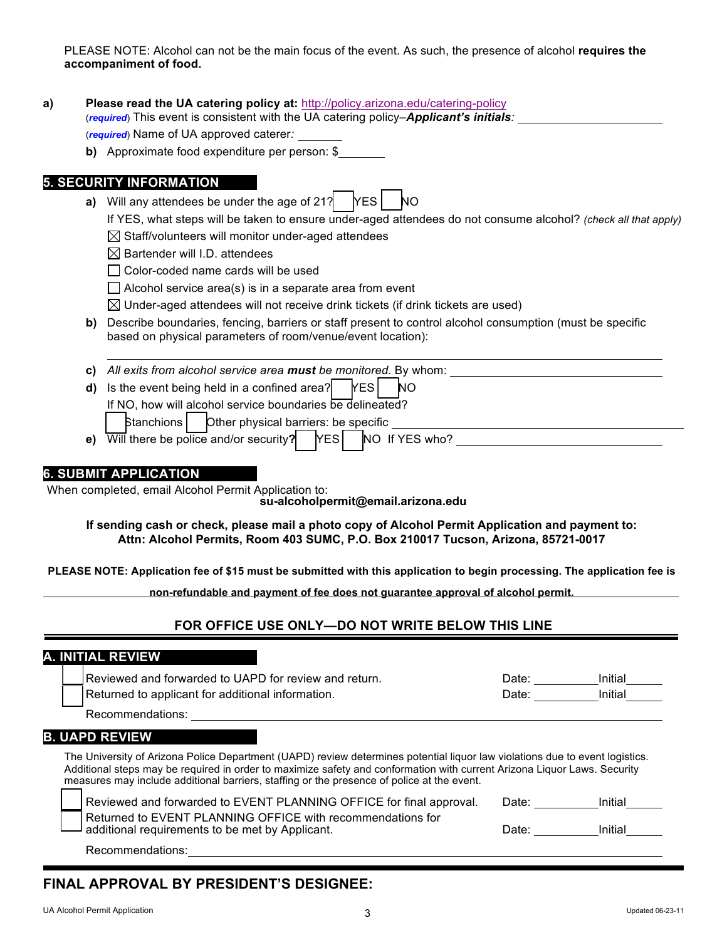PLEASE NOTE: Alcohol can not be the main focus of the event. As such, the presence of alcohol **requires the accompaniment of food.**

| a) | Please read the UA catering policy at: http://policy.arizona.edu/catering-policy<br>(required) This event is consistent with the UA catering policy- <b>Applicant's initials</b> :<br>(required) Name of UA approved caterer:                                                                                                                          |                                                                                                                       |  |  |  |  |  |  |  |
|----|--------------------------------------------------------------------------------------------------------------------------------------------------------------------------------------------------------------------------------------------------------------------------------------------------------------------------------------------------------|-----------------------------------------------------------------------------------------------------------------------|--|--|--|--|--|--|--|
|    |                                                                                                                                                                                                                                                                                                                                                        |                                                                                                                       |  |  |  |  |  |  |  |
|    | <b>b)</b> Approximate food expenditure per person: \$                                                                                                                                                                                                                                                                                                  |                                                                                                                       |  |  |  |  |  |  |  |
|    | <b>5. SECURITY INFORMATION</b>                                                                                                                                                                                                                                                                                                                         |                                                                                                                       |  |  |  |  |  |  |  |
|    | a) Will any attendees be under the age of 21? $YES$<br><b>NO</b>                                                                                                                                                                                                                                                                                       |                                                                                                                       |  |  |  |  |  |  |  |
|    | If YES, what steps will be taken to ensure under-aged attendees do not consume alcohol? (check all that apply)<br>$\boxtimes$ Staff/volunteers will monitor under-aged attendees                                                                                                                                                                       |                                                                                                                       |  |  |  |  |  |  |  |
|    |                                                                                                                                                                                                                                                                                                                                                        |                                                                                                                       |  |  |  |  |  |  |  |
|    | $\boxtimes$ Bartender will I.D. attendees<br>Color-coded name cards will be used                                                                                                                                                                                                                                                                       |                                                                                                                       |  |  |  |  |  |  |  |
|    |                                                                                                                                                                                                                                                                                                                                                        |                                                                                                                       |  |  |  |  |  |  |  |
|    | $\Box$ Alcohol service area(s) is in a separate area from event<br>$\boxtimes$ Under-aged attendees will not receive drink tickets (if drink tickets are used)                                                                                                                                                                                         |                                                                                                                       |  |  |  |  |  |  |  |
|    |                                                                                                                                                                                                                                                                                                                                                        |                                                                                                                       |  |  |  |  |  |  |  |
| b) | Describe boundaries, fencing, barriers or staff present to control alcohol consumption (must be specific<br>based on physical parameters of room/venue/event location):                                                                                                                                                                                |                                                                                                                       |  |  |  |  |  |  |  |
|    |                                                                                                                                                                                                                                                                                                                                                        |                                                                                                                       |  |  |  |  |  |  |  |
| d) | Is the event being held in a confined area?<br><b>YES</b><br><b>NO</b>                                                                                                                                                                                                                                                                                 |                                                                                                                       |  |  |  |  |  |  |  |
|    | If NO, how will alcohol service boundaries be delineated?                                                                                                                                                                                                                                                                                              |                                                                                                                       |  |  |  |  |  |  |  |
|    | Other physical barriers: be specific<br><b>Stanchions</b>                                                                                                                                                                                                                                                                                              | <u> 1980 - Johann Barn, mars ann an t-Amhain Aonaich an t-Aonaich an t-Aonaich an t-Aonaich an t-Aonaich an t-Aon</u> |  |  |  |  |  |  |  |
|    | e) $\overline{\text{Will}}$ there be police and/or security? $\overline{\text{YES}}$ $\overline{\text{NO}}$ If YES who?                                                                                                                                                                                                                                |                                                                                                                       |  |  |  |  |  |  |  |
|    | <b>6. SUBMIT APPLICATION</b>                                                                                                                                                                                                                                                                                                                           |                                                                                                                       |  |  |  |  |  |  |  |
|    | When completed, email Alcohol Permit Application to:<br>su-alcoholpermit@email.arizona.edu                                                                                                                                                                                                                                                             |                                                                                                                       |  |  |  |  |  |  |  |
|    | If sending cash or check, please mail a photo copy of Alcohol Permit Application and payment to:<br>Attn: Alcohol Permits, Room 403 SUMC, P.O. Box 210017 Tucson, Arizona, 85721-0017                                                                                                                                                                  |                                                                                                                       |  |  |  |  |  |  |  |
|    | PLEASE NOTE: Application fee of \$15 must be submitted with this application to begin processing. The application fee is                                                                                                                                                                                                                               |                                                                                                                       |  |  |  |  |  |  |  |
|    | non-refundable and payment of fee does not guarantee approval of alcohol permit.                                                                                                                                                                                                                                                                       |                                                                                                                       |  |  |  |  |  |  |  |
|    | FOR OFFICE USE ONLY-DO NOT WRITE BELOW THIS LINE                                                                                                                                                                                                                                                                                                       |                                                                                                                       |  |  |  |  |  |  |  |
|    | <b>A. INITIAL REVIEW</b>                                                                                                                                                                                                                                                                                                                               |                                                                                                                       |  |  |  |  |  |  |  |
|    | Reviewed and forwarded to UAPD for review and return.                                                                                                                                                                                                                                                                                                  |                                                                                                                       |  |  |  |  |  |  |  |
|    | Returned to applicant for additional information.                                                                                                                                                                                                                                                                                                      | Date: Initial                                                                                                         |  |  |  |  |  |  |  |
|    | Recommendations: University of the second service of the service of the service of the service of the service of the service of the service of the service of the service of the service of the service of the service of the                                                                                                                          |                                                                                                                       |  |  |  |  |  |  |  |
|    | <b>B. UAPD REVIEW</b>                                                                                                                                                                                                                                                                                                                                  |                                                                                                                       |  |  |  |  |  |  |  |
|    | The University of Arizona Police Department (UAPD) review determines potential liquor law violations due to event logistics.<br>Additional steps may be required in order to maximize safety and conformation with current Arizona Liquor Laws. Security<br>measures may include additional barriers, staffing or the presence of police at the event. |                                                                                                                       |  |  |  |  |  |  |  |
|    | Reviewed and forwarded to EVENT PLANNING OFFICE for final approval.                                                                                                                                                                                                                                                                                    | Date: Initial                                                                                                         |  |  |  |  |  |  |  |
|    | Returned to EVENT PLANNING OFFICE with recommendations for<br>additional requirements to be met by Applicant.                                                                                                                                                                                                                                          | Date: Initial                                                                                                         |  |  |  |  |  |  |  |
|    | Recommendations: experience of the state of the state of the state of the state of the state of the state of the state of the state of the state of the state of the state of the state of the state of the state of the state                                                                                                                         |                                                                                                                       |  |  |  |  |  |  |  |
|    | <b>FINAL APPROVAL BY PRESIDENT'S DESIGNEE:</b>                                                                                                                                                                                                                                                                                                         |                                                                                                                       |  |  |  |  |  |  |  |
|    |                                                                                                                                                                                                                                                                                                                                                        |                                                                                                                       |  |  |  |  |  |  |  |